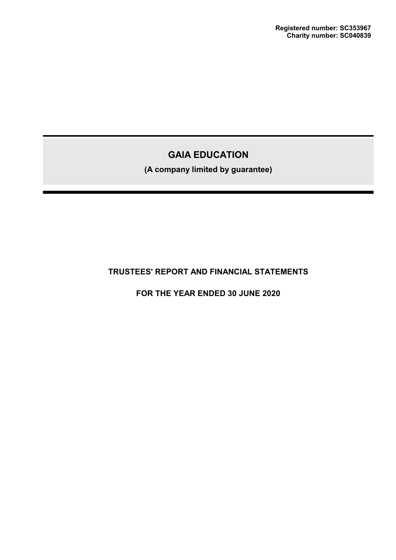**(A company limited by guarantee)**

# **TRUSTEES' REPORT AND FINANCIAL STATEMENTS**

**FOR THE YEAR ENDED 30 JUNE 2020**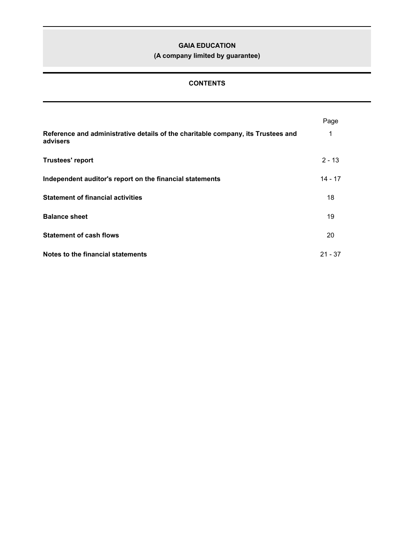**(A company limited by guarantee)**

# **CONTENTS**

|                                                                                              | Page      |
|----------------------------------------------------------------------------------------------|-----------|
| Reference and administrative details of the charitable company, its Trustees and<br>advisers | 1         |
| <b>Trustees' report</b>                                                                      | $2 - 13$  |
| Independent auditor's report on the financial statements                                     | $14 - 17$ |
| <b>Statement of financial activities</b>                                                     | 18        |
| <b>Balance sheet</b>                                                                         | 19        |
| <b>Statement of cash flows</b>                                                               | 20        |
| Notes to the financial statements                                                            | $21 - 37$ |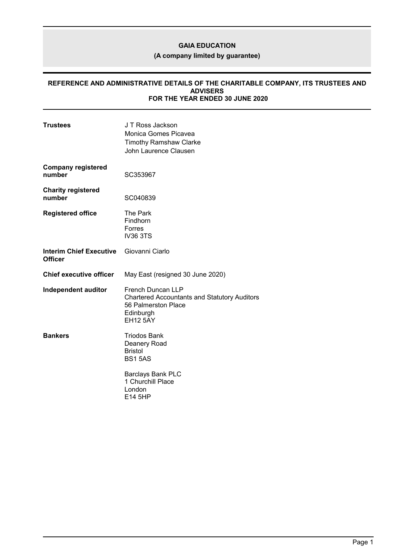**(A company limited by guarantee)**

### **REFERENCE AND ADMINISTRATIVE DETAILS OF THE CHARITABLE COMPANY, ITS TRUSTEES AND ADVISERS FOR THE YEAR ENDED 30 JUNE 2020**

| <b>Trustees</b>                                  | J T Ross Jackson<br>Monica Gomes Picavea<br><b>Timothy Ramshaw Clarke</b><br>John Laurence Clausen                                     |
|--------------------------------------------------|----------------------------------------------------------------------------------------------------------------------------------------|
| <b>Company registered</b><br>number              | SC353967                                                                                                                               |
| <b>Charity registered</b><br>number              | SC040839                                                                                                                               |
| <b>Registered office</b>                         | The Park<br>Findhorn<br>Forres<br><b>IV36 3TS</b>                                                                                      |
| <b>Interim Chief Executive</b><br><b>Officer</b> | Giovanni Ciarlo                                                                                                                        |
| <b>Chief executive officer</b>                   | May East (resigned 30 June 2020)                                                                                                       |
| Independent auditor                              | <b>French Duncan LLP</b><br><b>Chartered Accountants and Statutory Auditors</b><br>56 Palmerston Place<br>Edinburgh<br><b>EH12 5AY</b> |
| <b>Bankers</b>                                   | <b>Triodos Bank</b><br>Deanery Road<br><b>Bristol</b><br><b>BS15AS</b>                                                                 |
|                                                  | <b>Barclays Bank PLC</b><br>1 Churchill Place<br>London<br>E14 5HP                                                                     |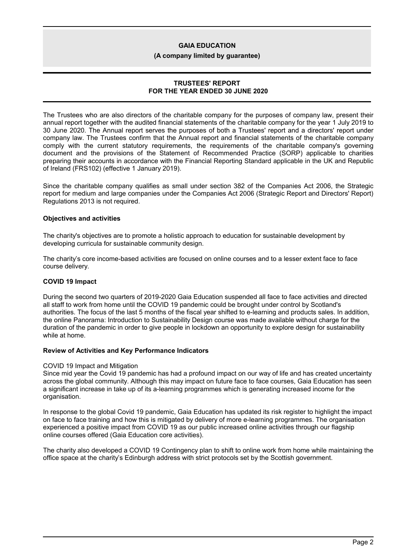**(A company limited by guarantee)**

# **TRUSTEES' REPORT FOR THE YEAR ENDED 30 JUNE 2020**

The Trustees who are also directors of the charitable company for the purposes of company law, present their annual report together with the audited financial statements of the charitable company for the year 1 July 2019 to 30 June 2020. The Annual report serves the purposes of both a Trustees' report and a directors' report under company law. The Trustees confirm that the Annual report and financial statements of the charitable company comply with the current statutory requirements, the requirements of the charitable company's governing document and the provisions of the Statement of Recommended Practice (SORP) applicable to charities preparing their accounts in accordance with the Financial Reporting Standard applicable in the UK and Republic of Ireland (FRS102) (effective 1 January 2019).

Since the charitable company qualifies as small under section 382 of the Companies Act 2006, the Strategic report for medium and large companies under the Companies Act 2006 (Strategic Report and Directors' Report) Regulations 2013 is not required.

## **Objectives and activities**

The charity's objectives are to promote a holistic approach to education for sustainable development by developing curricula for sustainable community design.

The charity's core income-based activities are focused on online courses and to a lesser extent face to face course delivery.

# **COVID 19 Impact**

During the second two quarters of 2019-2020 Gaia Education suspended all face to face activities and directed all staff to work from home until the COVID 19 pandemic could be brought under control by Scotland's authorities. The focus of the last 5 months of the fiscal year shifted to e-learning and products sales. In addition, the online Panorama: Introduction to Sustainability Design course was made available without charge for the duration of the pandemic in order to give people in lockdown an opportunity to explore design for sustainability while at home.

## **Review of Activities and Key Performance Indicators**

#### COVID 19 Impact and Mitigation

Since mid year the Covid 19 pandemic has had a profound impact on our way of life and has created uncertainty across the global community. Although this may impact on future face to face courses, Gaia Education has seen a significant increase in take up of its a-learning programmes which is generating increased income for the organisation.

In response to the global Covid 19 pandemic, Gaia Education has updated its risk register to highlight the impact on face to face training and how this is mitigated by delivery of more e-learning programmes. The organisation experienced a positive impact from COVID 19 as our public increased online activities through our flagship online courses offered (Gaia Education core activities).

The charity also developed a COVID 19 Contingency plan to shift to online work from home while maintaining the office space at the charity's Edinburgh address with strict protocols set by the Scottish government.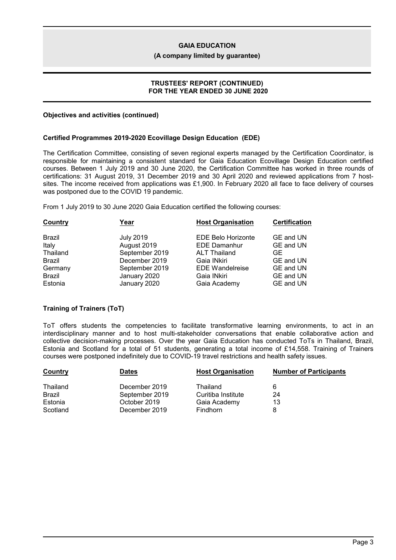### **(A company limited by guarantee)**

### **TRUSTEES' REPORT (CONTINUED) FOR THE YEAR ENDED 30 JUNE 2020**

### **Objectives and activities (continued)**

### **Certified Programmes 2019-2020 Ecovillage Design Education (EDE)**

The Certification Committee, consisting of seven regional experts managed by the Certification Coordinator, is responsible for maintaining a consistent standard for Gaia Education Ecovillage Design Education certified courses. Between 1 July 2019 and 30 June 2020, the Certification Committee has worked in three rounds of certifications: 31 August 2019, 31 December 2019 and 30 April 2020 and reviewed applications from 7 hostsites. The income received from applications was £1,900. In February 2020 all face to face delivery of courses was postponed due to the COVID 19 pandemic.

From 1 July 2019 to 30 June 2020 Gaia Education certified the following courses:

| Country       | Year             | <b>Host Organisation</b>  | <b>Certification</b> |
|---------------|------------------|---------------------------|----------------------|
| Brazil        | <b>July 2019</b> | <b>EDE Belo Horizonte</b> | GE and UN            |
| Italy         | August 2019      | <b>EDE Damanhur</b>       | GE and UN            |
| Thailand      | September 2019   | <b>ALT Thailand</b>       | GE.                  |
| Brazil        | December 2019    | Gaia INkiri               | GE and UN            |
| Germany       | September 2019   | <b>EDE Wandelreise</b>    | GE and UN            |
| <b>Brazil</b> | January 2020     | Gaia INkiri               | GE and UN            |
| Estonia       | January 2020     | Gaia Academy              | GE and UN            |

## **Training of Trainers (ToT)**

ToT offers students the competencies to facilitate transformative learning environments, to act in an interdisciplinary manner and to host multi-stakeholder conversations that enable collaborative action and collective decision-making processes. Over the year Gaia Education has conducted ToTs in Thailand, Brazil, Estonia and Scotland for a total of 51 students, generating a total income of £14,558. Training of Trainers courses were postponed indefinitely due to COVID-19 travel restrictions and health safety issues.

| Country       | <b>Dates</b>   | <b>Host Organisation</b> | <b>Number of Participants</b> |
|---------------|----------------|--------------------------|-------------------------------|
| Thailand      | December 2019  | Thailand                 |                               |
| <b>Brazil</b> | September 2019 | Curitiba Institute       | 24                            |
| Estonia       | October 2019   | Gaia Academy             | 13                            |
| Scotland      | December 2019  | <b>Findhorn</b>          |                               |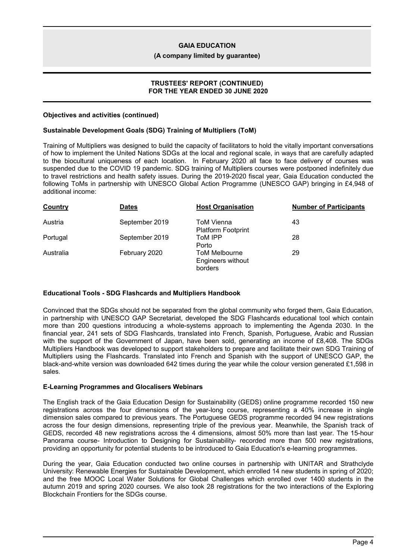### **(A company limited by guarantee)**

### **TRUSTEES' REPORT (CONTINUED) FOR THE YEAR ENDED 30 JUNE 2020**

### **Objectives and activities (continued)**

### **Sustainable Development Goals (SDG) Training of Multipliers (ToM)**

Training of Multipliers was designed to build the capacity of facilitators to hold the vitally important conversations of how to implement the United Nations SDGs at the local and regional scale, in ways that are carefully adapted to the biocultural uniqueness of each location. In February 2020 all face to face delivery of courses was suspended due to the COVID 19 pandemic. SDG training of Multipliers courses were postponed indefinitely due to travel restrictions and health safety issues. During the 2019-2020 fiscal year, Gaia Education conducted the following ToMs in partnership with UNESCO Global Action Programme (UNESCO GAP) bringing in £4,948 of additional income:

| Country   | <b>Dates</b>   | <b>Host Organisation</b>                             | <b>Number of Participants</b> |
|-----------|----------------|------------------------------------------------------|-------------------------------|
| Austria   | September 2019 | <b>ToM Vienna</b><br><b>Platform Footprint</b>       | 43                            |
| Portugal  | September 2019 | ToM IPP<br>Porto                                     | 28                            |
| Australia | February 2020  | <b>ToM Melbourne</b><br>Engineers without<br>borders | 29                            |

## **Educational Tools - SDG Flashcards and Multipliers Handbook**

Convinced that the SDGs should not be separated from the global community who forged them, Gaia Education, in partnership with UNESCO GAP Secretariat, developed the SDG Flashcards educational tool which contain more than 200 questions introducing a whole-systems approach to implementing the Agenda 2030. In the financial year, 241 sets of SDG Flashcards, translated into French, Spanish, Portuguese, Arabic and Russian with the support of the Government of Japan, have been sold, generating an income of £8,408. The SDGs Multipliers Handbook was developed to support stakeholders to prepare and facilitate their own SDG Training of Multipliers using the Flashcards. Translated into French and Spanish with the support of UNESCO GAP, the black-and-white version was downloaded 642 times during the year while the colour version generated £1,598 in sales.

## **E-Learning Programmes and Glocalisers Webinars**

The English track of the Gaia Education Design for Sustainability (GEDS) online programme recorded 150 new registrations across the four dimensions of the year-long course, representing a 40% increase in single dimension sales compared to previous years. The Portuguese GEDS programme recorded 94 new registrations across the four design dimensions, representing triple of the previous year. Meanwhile, the Spanish track of GEDS, recorded 48 new registrations across the 4 dimensions, almost 50% more than last year. The 15-hour Panorama course- Introduction to Designing for Sustainability- recorded more than 500 new registrations, providing an opportunity for potential students to be introduced to Gaia Education's e-learning programmes.

During the year, Gaia Education conducted two online courses in partnership with UNITAR and Strathclyde University: Renewable Energies for Sustainable Development, which enrolled 14 new students in spring of 2020; and the free MOOC Local Water Solutions for Global Challenges which enrolled over 1400 students in the autumn 2019 and spring 2020 courses. We also took 28 registrations for the two interactions of the Exploring Blockchain Frontiers for the SDGs course.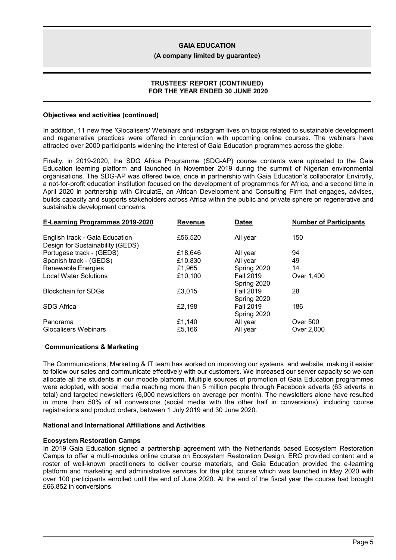### **(A company limited by guarantee)**

### **TRUSTEES' REPORT (CONTINUED) FOR THE YEAR ENDED 30 JUNE 2020**

### **Objectives and activities (continued)**

In addition, 11 new free 'Glocalisers' Webinars and instagram lives on topics related to sustainable development and regenerative practices were offered in conjunction with upcoming online courses. The webinars have attracted over 2000 participants widening the interest of Gaia Education programmes across the globe.

Finally, in 2019-2020, the SDG Africa Programme (SDG-AP) course contents were uploaded to the Gaia Education learning platform and launched in November 2019 during the summit of Nigerian environmental organisations. The SDG-AP was offered twice, once in partnership with Gaia Education's collaborator Envirofly, a not-for-profit education institution focused on the development of programmes for Africa, and a second time in April 2020 in partnership with CirculatE, an African Development and Consulting Firm that engages, advises, builds capacity and supports stakeholders across Africa within the public and private sphere on regenerative and sustainable development concerns.

| <b>Dates</b>     | <b>Number of Participants</b>                                                                                                                                         |
|------------------|-----------------------------------------------------------------------------------------------------------------------------------------------------------------------|
| All year         | 150                                                                                                                                                                   |
|                  |                                                                                                                                                                       |
| All year         | 94                                                                                                                                                                    |
| All year         | 49                                                                                                                                                                    |
| Spring 2020      | 14                                                                                                                                                                    |
| <b>Fall 2019</b> | Over 1.400                                                                                                                                                            |
|                  |                                                                                                                                                                       |
| <b>Fall 2019</b> | 28                                                                                                                                                                    |
|                  |                                                                                                                                                                       |
| <b>Fall 2019</b> | 186                                                                                                                                                                   |
|                  |                                                                                                                                                                       |
|                  | <b>Over 500</b>                                                                                                                                                       |
| All year         | Over 2,000                                                                                                                                                            |
|                  | <b>Revenue</b><br>£56,520<br>£18,646<br>£10,830<br>£1,965<br>£10,100<br>Spring 2020<br>£3.015<br>Spring 2020<br>£2,198<br>Spring 2020<br>£1,140<br>All year<br>£5,166 |

## **Communications & Marketing**

The Communications, Marketing & IT team has worked on improving our systems and website, making it easier to follow our sales and communicate effectively with our customers. We increased our server capacity so we can allocate all the students in our moodle platform. Multiple sources of promotion of Gaia Education programmes were adopted, with social media reaching more than 5 million people through Facebook adverts (63 adverts in total) and targeted newsletters (6,000 newsletters on average per month). The newsletters alone have resulted in more than 50% of all conversions (social media with the other half in conversions), including course registrations and product orders, between 1 July 2019 and 30 June 2020.

#### **National and International Affiliations and Activities**

#### **Ecosystem Restoration Camps**

In 2019 Gaia Education signed a partnership agreement with the Netherlands based Ecosystem Restoration Camps to offer a multi-modules online course on Ecosystem Restoration Design. ERC provided content and a roster of well-known practitioners to deliver course materials, and Gaia Education provided the e-learning platform and marketing and administrative services for the pilot course which was launched in May 2020 with over 100 participants enrolled until the end of June 2020. At the end of the fiscal year the course had brought £66,852 in conversions.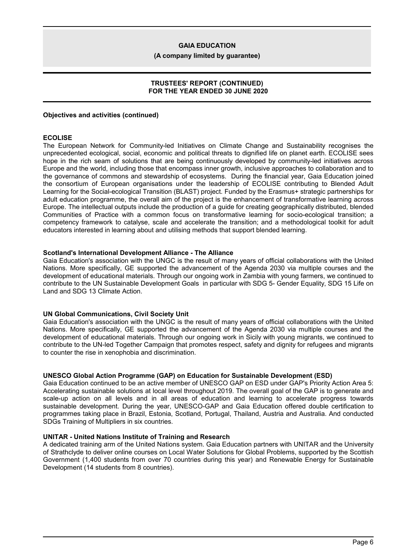**(A company limited by guarantee)**

### **TRUSTEES' REPORT (CONTINUED) FOR THE YEAR ENDED 30 JUNE 2020**

## **Objectives and activities (continued)**

### **ECOLISE**

The European Network for Community-led Initiatives on Climate Change and Sustainability recognises the unprecedented ecological, social, economic and political threats to dignified life on planet earth. ECOLISE sees hope in the rich seam of solutions that are being continuously developed by community-led initiatives across Europe and the world, including those that encompass inner growth, inclusive approaches to collaboration and to the governance of commons and stewardship of ecosystems. During the financial year, Gaia Education joined the consortium of European organisations under the leadership of ECOLISE contributing to Blended Adult Learning for the Social-ecological Transition (BLAST) project. Funded by the Erasmus+ strategic partnerships for adult education programme, the overall aim of the project is the enhancement of transformative learning across Europe. The intellectual outputs include the production of a guide for creating geographically distributed, blended Communities of Practice with a common focus on transformative learning for socio-ecological transition; a competency framework to catalyse, scale and accelerate the transition; and a methodological toolkit for adult educators interested in learning about and utilising methods that support blended learning.

#### **Scotland's International Development Alliance - The Alliance**

Gaia Education's association with the UNGC is the result of many years of official collaborations with the United Nations. More specifically, GE supported the advancement of the Agenda 2030 via multiple courses and the development of educational materials. Through our ongoing work in Zambia with young farmers, we continued to contribute to the UN Sustainable Development Goals in particular with SDG 5- Gender Equality, SDG 15 Life on Land and SDG 13 Climate Action.

## **UN Global Communications, Civil Society Unit**

Gaia Education's association with the UNGC is the result of many years of official collaborations with the United Nations. More specifically, GE supported the advancement of the Agenda 2030 via multiple courses and the development of educational materials. Through our ongoing work in Sicily with young migrants, we continued to contribute to the UN-led Together Campaign that promotes respect, safety and dignity for refugees and migrants to counter the rise in xenophobia and discrimination.

## **UNESCO Global Action Programme (GAP) on Education for Sustainable Development (ESD)**

Gaia Education continued to be an active member of UNESCO GAP on ESD under GAP's Priority Action Area 5: Accelerating sustainable solutions at local level throughout 2019. The overall goal of the GAP is to generate and scale-up action on all levels and in all areas of education and learning to accelerate progress towards sustainable development. During the year, UNESCO-GAP and Gaia Education offered double certification to programmes taking place in Brazil, Estonia, Scotland, Portugal, Thailand, Austria and Australia. And conducted SDGs Training of Multipliers in six countries.

## **UNITAR - United Nations Institute of Training and Research**

A dedicated training arm of the United Nations system. Gaia Education partners with UNITAR and the University of Strathclyde to deliver online courses on Local Water Solutions for Global Problems, supported by the Scottish Government (1,400 students from over 70 countries during this year) and Renewable Energy for Sustainable Development (14 students from 8 countries).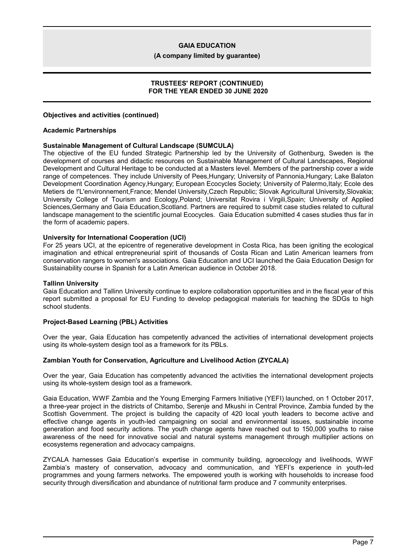**(A company limited by guarantee)**

### **TRUSTEES' REPORT (CONTINUED) FOR THE YEAR ENDED 30 JUNE 2020**

## **Objectives and activities (continued)**

### **Academic Partnerships**

### **Sustainable Management of Cultural Landscape (SUMCULA)**

The objective of the EU funded Strategic Partnership led by the University of Gothenburg, Sweden is the development of courses and didactic resources on Sustainable Management of Cultural Landscapes, Regional Development and Cultural Heritage to be conducted at a Masters level. Members of the partnership cover a wide range of competences. They include University of Pees, Hungary; University of Pannonia, Hungary; Lake Balaton Development Coordination Agency,Hungary; European Ecocycles Society; University of Palermo,Italy; Ecole des Metiers de !'L'environnement,France; Mendel University,Czech Republic; Slovak Agricultural University,Slovakia; University College of Tourism and Ecology,Poland; Universitat Rovira i Virgili,Spain; University of Applied Sciences,Germany and Gaia Education,Scotland. Partners are required to submit case studies related to cultural landscape management to the scientific journal Ecocycles. Gaia Education submitted 4 cases studies thus far in the form of academic papers.

### **University for International Cooperation (UCI)**

For 25 years UCI, at the epicentre of regenerative development in Costa Rica, has been igniting the ecological imagination and ethical entrepreneurial spirit of thousands of Costa Rican and Latin American learners from conservation rangers to women's associations. Gaia Education and UCI launched the Gaia Education Design for Sustainability course in Spanish for a Latin American audience in October 2018.

### **Tallinn University**

Gaia Education and Tallinn University continue to explore collaboration opportunities and in the fiscal year of this report submitted a proposal for EU Funding to develop pedagogical materials for teaching the SDGs to high school students.

## **Project-Based Learning (PBL) Activities**

Over the year, Gaia Education has competently advanced the activities of international development projects using its whole-system design tool as a framework for its PBLs.

## **Zambian Youth for Conservation, Agriculture and Livelihood Action (ZYCALA)**

Over the year, Gaia Education has competently advanced the activities the international development projects using its whole-system design tool as a framework.

Gaia Education, WWF Zambia and the Young Emerging Farmers Initiative (YEFI) launched, on 1 October 2017, a three-year project in the districts of Chitambo, Serenje and Mkushi in Central Province, Zambia funded by the Scottish Government. The project is building the capacity of 420 local youth leaders to become active and effective change agents in youth-led campaigning on social and environmental issues, sustainable income generation and food security actions. The youth change agents have reached out to 150,000 youths to raise awareness of the need for innovative social and natural systems management through multiplier actions on ecosystems regeneration and advocacy campaigns.

ZYCALA harnesses Gaia Education's expertise in community building, agroecology and livelihoods, WWF Zambia's mastery of conservation, advocacy and communication, and YEFI's experience in youth-led programmes and young farmers networks. The empowered youth is working with households to increase food security through diversification and abundance of nutritional farm produce and 7 community enterprises.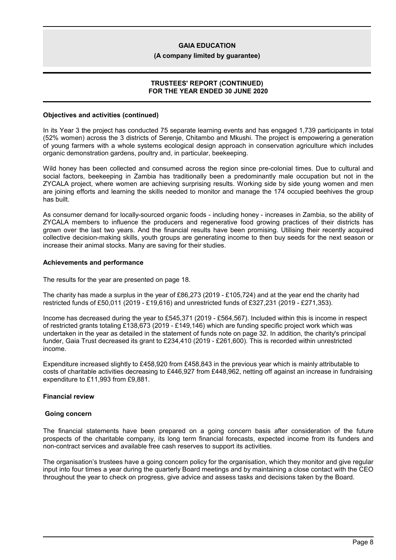### **(A company limited by guarantee)**

### **TRUSTEES' REPORT (CONTINUED) FOR THE YEAR ENDED 30 JUNE 2020**

### **Objectives and activities (continued)**

In its Year 3 the project has conducted 75 separate learning events and has engaged 1,739 participants in total (52% women) across the 3 districts of Serenje, Chitambo and Mkushi. The project is empowering a generation of young farmers with a whole systems ecological design approach in conservation agriculture which includes organic demonstration gardens, poultry and, in particular, beekeeping.

Wild honey has been collected and consumed across the region since pre-colonial times. Due to cultural and social factors, beekeeping in Zambia has traditionally been a predominantly male occupation but not in the ZYCALA project, where women are achieving surprising results. Working side by side young women and men are joining efforts and learning the skills needed to monitor and manage the 174 occupied beehives the group has built.

As consumer demand for locally-sourced organic foods - including honey - increases in Zambia, so the ability of ZYCALA members to influence the producers and regenerative food growing practices of their districts has grown over the last two years. And the financial results have been promising. Utilising their recently acquired collective decision-making skills, youth groups are generating income to then buy seeds for the next season or increase their animal stocks. Many are saving for their studies.

### **Achievements and performance**

The results for the year are presented on page 18.

The charity has made a surplus in the year of £86,273 (2019 - £105,724) and at the year end the charity had restricted funds of £50,011 (2019 - £19,616) and unrestricted funds of £327,231 (2019 - £271,353).

Income has decreased during the year to £545,371 (2019 - £564,567). Included within this is income in respect of restricted grants totaling £138,673 (2019 - £149,146) which are funding specific project work which was undertaken in the year as detailed in the statement of funds note on page 32. In addition, the charity's principal funder, Gaia Trust decreased its grant to £234,410 (2019 - £261,600). This is recorded within unrestricted income.

Expenditure increased slightly to £458,920 from £458,843 in the previous year which is mainly attributable to costs of charitable activities decreasing to £446,927 from £448,962, netting off against an increase in fundraising expenditure to £11,993 from £9,881.

# **Financial review**

#### **Going concern**

The financial statements have been prepared on a going concern basis after consideration of the future prospects of the charitable company, its long term financial forecasts, expected income from its funders and non-contract services and available free cash reserves to support its activities.

The organisation's trustees have a going concern policy for the organisation, which they monitor and give regular input into four times a year during the quarterly Board meetings and by maintaining a close contact with the CEO throughout the year to check on progress, give advice and assess tasks and decisions taken by the Board.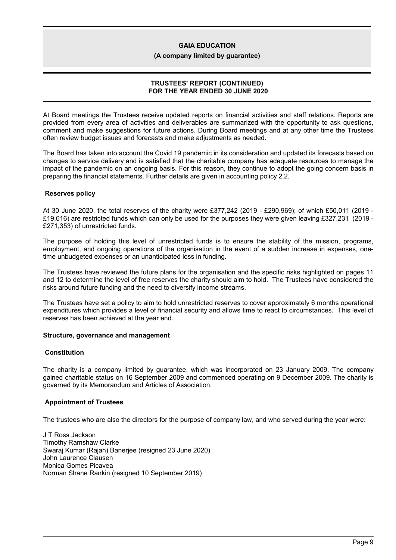#### **(A company limited by guarantee)**

## **TRUSTEES' REPORT (CONTINUED) FOR THE YEAR ENDED 30 JUNE 2020**

At Board meetings the Trustees receive updated reports on financial activities and staff relations. Reports are provided from every area of activities and deliverables are summarized with the opportunity to ask questions, comment and make suggestions for future actions. During Board meetings and at any other time the Trustees often review budget issues and forecasts and make adjustments as needed.

The Board has taken into account the Covid 19 pandemic in its consideration and updated its forecasts based on changes to service delivery and is satisfied that the charitable company has adequate resources to manage the impact of the pandemic on an ongoing basis. For this reason, they continue to adopt the going concern basis in preparing the financial statements. Further details are given in accounting policy 2.2.

## **Reserves policy**

At 30 June 2020, the total reserves of the charity were £377,242 (2019 - £290,969); of which £50,011 (2019 - £19,616) are restricted funds which can only be used for the purposes they were given leaving £327,231 (2019 - £271,353) of unrestricted funds.

The purpose of holding this level of unrestricted funds is to ensure the stability of the mission, programs, employment, and ongoing operations of the organisation in the event of a sudden increase in expenses, onetime unbudgeted expenses or an unanticipated loss in funding.

The Trustees have reviewed the future plans for the organisation and the specific risks highlighted on pages 11 and 12 to determine the level of free reserves the charity should aim to hold. The Trustees have considered the risks around future funding and the need to diversify income streams.

The Trustees have set a policy to aim to hold unrestricted reserves to cover approximately 6 months operational expenditures which provides a level of financial security and allows time to react to circumstances. This level of reserves has been achieved at the year end.

## **Structure, governance and management**

#### **Constitution**

The charity is a company limited by guarantee, which was incorporated on 23 January 2009. The company gained charitable status on 16 September 2009 and commenced operating on 9 December 2009. The charity is governed by its Memorandum and Articles of Association.

## **Appointment of Trustees**

The trustees who are also the directors for the purpose of company law, and who served during the year were:

J T Ross Jackson Timothy Ramshaw Clarke Swaraj Kumar (Rajah) Banerjee (resigned 23 June 2020) John Laurence Clausen Monica Gomes Picavea Norman Shane Rankin (resigned 10 September 2019)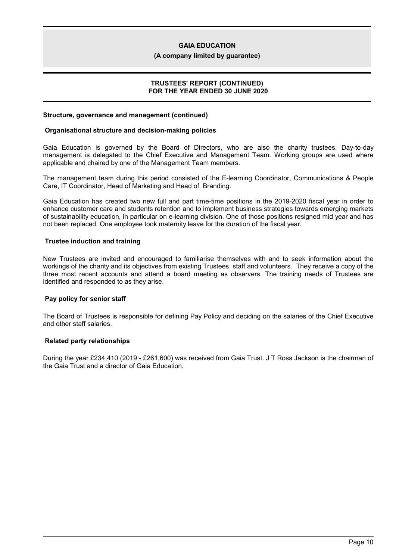### **(A company limited by guarantee)**

### **TRUSTEES' REPORT (CONTINUED) FOR THE YEAR ENDED 30 JUNE 2020**

### **Structure, governance and management (continued)**

### **Organisational structure and decision-making policies**

Gaia Education is governed by the Board of Directors, who are also the charity trustees. Day-to-day management is delegated to the Chief Executive and Management Team. Working groups are used where applicable and chaired by one of the Management Team members.

The management team during this period consisted of the E-learning Coordinator, Communications & People Care, IT Coordinator, Head of Marketing and Head of Branding.

Gaia Education has created two new full and part time-time positions in the 2019-2020 fiscal year in order to enhance customer care and students retention and to implement business strategies towards emerging markets of sustainability education, in particular on e-learning division. One of those positions resigned mid year and has not been replaced. One employee took maternity leave for the duration of the fiscal year.

## **Trustee induction and training**

New Trustees are invited and encouraged to familiarise themselves with and to seek information about the workings of the charity and its objectives from existing Trustees, staff and volunteers. They receive a copy of the three most recent accounts and attend a board meeting as observers. The training needs of Trustees are identified and responded to as they arise.

## **Pay policy for senior staff**

The Board of Trustees is responsible for defining Pay Policy and deciding on the salaries of the Chief Executive and other staff salaries.

## **Related party relationships**

During the year £234,410 (2019 - £261,600) was received from Gaia Trust. J T Ross Jackson is the chairman of the Gaia Trust and a director of Gaia Education.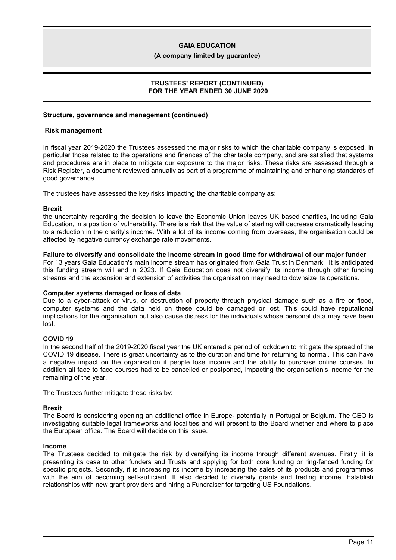### **(A company limited by guarantee)**

### **TRUSTEES' REPORT (CONTINUED) FOR THE YEAR ENDED 30 JUNE 2020**

### **Structure, governance and management (continued)**

### **Risk management**

In fiscal year 2019-2020 the Trustees assessed the major risks to which the charitable company is exposed, in particular those related to the operations and finances of the charitable company, and are satisfied that systems and procedures are in place to mitigate our exposure to the major risks. These risks are assessed through a Risk Register, a document reviewed annually as part of a programme of maintaining and enhancing standards of good governance.

The trustees have assessed the key risks impacting the charitable company as:

### **Brexit**

the uncertainty regarding the decision to leave the Economic Union leaves UK based charities, including Gaia Education, in a position of vulnerability. There is a risk that the value of sterling will decrease dramatically leading to a reduction in the charity's income. With a lot of its income coming from overseas, the organisation could be affected by negative currency exchange rate movements.

### **Failure to diversify and consolidate the income stream in good time for withdrawal of our major funder**

For 13 years Gaia Education's main income stream has originated from Gaia Trust in Denmark. It is anticipated this funding stream will end in 2023. If Gaia Education does not diversify its income through other funding streams and the expansion and extension of activities the organisation may need to downsize its operations.

#### **Computer systems damaged or loss of data**

Due to a cyber-attack or virus, or destruction of property through physical damage such as a fire or flood, computer systems and the data held on these could be damaged or lost. This could have reputational implications for the organisation but also cause distress for the individuals whose personal data may have been lost.

## **COVID 19**

In the second half of the 2019-2020 fiscal year the UK entered a period of lockdown to mitigate the spread of the COVID 19 disease. There is great uncertainty as to the duration and time for returning to normal. This can have a negative impact on the organisation if people lose income and the ability to purchase online courses. In addition all face to face courses had to be cancelled or postponed, impacting the organisation's income for the remaining of the year.

The Trustees further mitigate these risks by:

## **Brexit**

The Board is considering opening an additional office in Europe- potentially in Portugal or Belgium. The CEO is investigating suitable legal frameworks and localities and will present to the Board whether and where to place the European office. The Board will decide on this issue.

#### **Income**

The Trustees decided to mitigate the risk by diversifying its income through different avenues. Firstly, it is presenting its case to other funders and Trusts and applying for both core funding or ring-fenced funding for specific projects. Secondly, it is increasing its income by increasing the sales of its products and programmes with the aim of becoming self-sufficient. It also decided to diversify grants and trading income. Establish relationships with new grant providers and hiring a Fundraiser for targeting US Foundations.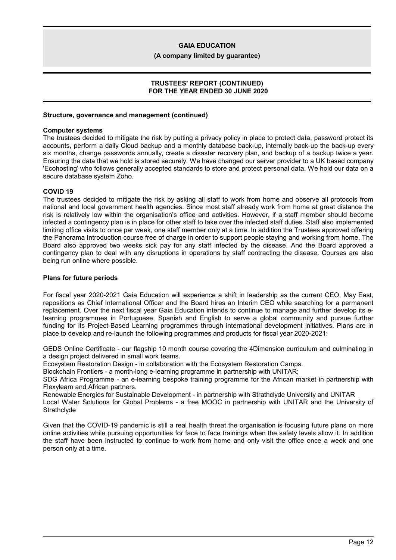### **(A company limited by guarantee)**

### **TRUSTEES' REPORT (CONTINUED) FOR THE YEAR ENDED 30 JUNE 2020**

### **Structure, governance and management (continued)**

### **Computer systems**

The trustees decided to mitigate the risk by putting a privacy policy in place to protect data, password protect its accounts, perform a daily Cloud backup and a monthly database back-up, internally back-up the back-up every six months, change passwords annually, create a disaster recovery plan, and backup of a backup twice a year. Ensuring the data that we hold is stored securely. We have changed our server provider to a UK based company 'Ecohosting' who follows generally accepted standards to store and protect personal data. We hold our data on a secure database system Zoho.

## **COVID 19**

The trustees decided to mitigate the risk by asking all staff to work from home and observe all protocols from national and local government health agencies. Since most staff already work from home at great distance the risk is relatively low within the organisation's office and activities. However, if a staff member should become infected a contingency plan is in place for other staff to take over the infected staff duties. Staff also implemented limiting office visits to once per week, one staff member only at a time. In addition the Trustees approved offering the Panorama Introduction course free of charge in order to support people staying and working from home. The Board also approved two weeks sick pay for any staff infected by the disease. And the Board approved a contingency plan to deal with any disruptions in operations by staff contracting the disease. Courses are also being run online where possible.

### **Plans for future periods**

For fiscal year 2020-2021 Gaia Education will experience a shift in leadership as the current CEO, May East, repositions as Chief International Officer and the Board hires an Interim CEO while searching for a permanent replacement. Over the next fiscal year Gaia Education intends to continue to manage and further develop its elearning programmes in Portuguese, Spanish and English to serve a global community and pursue further funding for its Project-Based Learning programmes through international development initiatives. Plans are in place to develop and re-launch the following programmes and products for fiscal year 2020-2021:

GEDS Online Certificate - our flagship 10 month course covering the 4Dimension curriculum and culminating in a design project delivered in small work teams.

Ecosystem Restoration Design - in collaboration with the Ecosystem Restoration Camps.

Blockchain Frontiers - a month-long e-learning programme in partnership with UNITAR;

SDG Africa Programme - an e-learning bespoke training programme for the African market in partnership with Flexylearn and African partners.

Renewable Energies for Sustainable Development - in partnership with Strathclyde University and UNITAR

Local Water Solutions for Global Problems - a free MOOC in partnership with UNITAR and the University of **Strathclyde** 

Given that the COVID-19 pandemic is still a real health threat the organisation is focusing future plans on more online activities while pursuing opportunities for face to face trainings when the safety levels allow it. In addition the staff have been instructed to continue to work from home and only visit the office once a week and one person only at a time.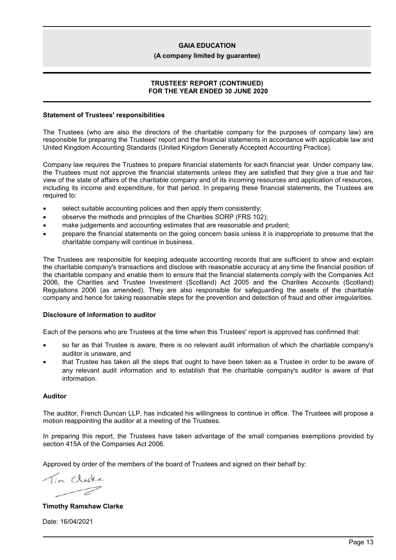### **(A company limited by guarantee)**

### **TRUSTEES' REPORT (CONTINUED) FOR THE YEAR ENDED 30 JUNE 2020**

### **Statement of Trustees' responsibilities**

The Trustees (who are also the directors of the charitable company for the purposes of company law) are responsible for preparing the Trustees' report and the financial statements in accordance with applicable law and United Kingdom Accounting Standards (United Kingdom Generally Accepted Accounting Practice).

Company law requires the Trustees to prepare financial statements for each financial year. Under company law, the Trustees must not approve the financial statements unless they are satisfied that they give a true and fair view of the state of affairs of the charitable company and of its incoming resources and application of resources, including its income and expenditure, for that period. In preparing these financial statements, the Trustees are required to:

- select suitable accounting policies and then apply them consistently;
- observe the methods and principles of the Charities SORP (FRS 102);
- make judgements and accounting estimates that are reasonable and prudent;
- prepare the financial statements on the going concern basis unless it is inappropriate to presume that the charitable company will continue in business.

The Trustees are responsible for keeping adequate accounting records that are sufficient to show and explain the charitable company's transactions and disclose with reasonable accuracy at any time the financial position of the charitable company and enable them to ensure that the financial statements comply with the Companies Act 2006, the Charities and Trustee Investment (Scotland) Act 2005 and the Charities Accounts (Scotland) Regulations 2006 (as amended). They are also responsible for safeguarding the assets of the charitable company and hence for taking reasonable steps for the prevention and detection of fraud and other irregularities.

## **Disclosure of information to auditor**

Each of the persons who are Trustees at the time when this Trustees' report is approved has confirmed that:

- so far as that Trustee is aware, there is no relevant audit information of which the charitable company's auditor is unaware, and
- that Trustee has taken all the steps that ought to have been taken as a Trustee in order to be aware of any relevant audit information and to establish that the charitable company's auditor is aware of that information.

### **Auditor**

The auditor, French Duncan LLP, has indicated his willingness to continue in office. The Trustees will propose a motion reappointing the auditor at a meeting of the Trustees.

In preparing this report, the Trustees have taken advantage of the small companies exemptions provided by section 415A of the Companies Act 2006.

Approved by order of the members of the board of Trustees and signed on their behalf by:

Tin Clote -7

**Timothy Ramshaw Clarke**

Date: 16/04/2021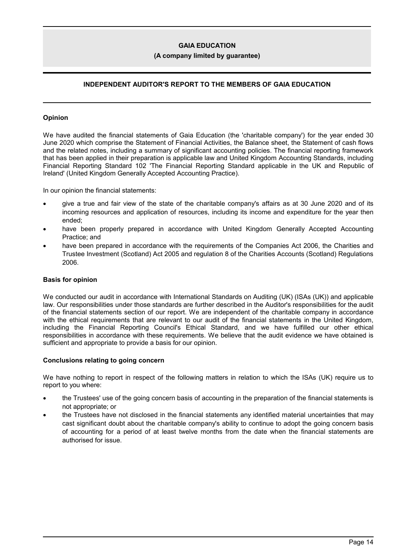### **(A company limited by guarantee)**

# **INDEPENDENT AUDITOR'S REPORT TO THE MEMBERS OF GAIA EDUCATION**

### **Opinion**

We have audited the financial statements of Gaia Education (the 'charitable company') for the year ended 30 June 2020 which comprise the Statement of Financial Activities, the Balance sheet, the Statement of cash flows and the related notes, including a summary of significant accounting policies. The financial reporting framework that has been applied in their preparation is applicable law and United Kingdom Accounting Standards, including Financial Reporting Standard 102 'The Financial Reporting Standard applicable in the UK and Republic of Ireland' (United Kingdom Generally Accepted Accounting Practice).

In our opinion the financial statements:

- give a true and fair view of the state of the charitable company's affairs as at 30 June 2020 and of its incoming resources and application of resources, including its income and expenditure for the year then ended;
- have been properly prepared in accordance with United Kingdom Generally Accepted Accounting Practice; and
- have been prepared in accordance with the requirements of the Companies Act 2006, the Charities and Trustee Investment (Scotland) Act 2005 and regulation 8 of the Charities Accounts (Scotland) Regulations 2006.

### **Basis for opinion**

We conducted our audit in accordance with International Standards on Auditing (UK) (ISAs (UK)) and applicable law. Our responsibilities under those standards are further described in the Auditor's responsibilities for the audit of the financial statements section of our report. We are independent of the charitable company in accordance with the ethical requirements that are relevant to our audit of the financial statements in the United Kingdom, including the Financial Reporting Council's Ethical Standard, and we have fulfilled our other ethical responsibilities in accordance with these requirements. We believe that the audit evidence we have obtained is sufficient and appropriate to provide a basis for our opinion.

#### **Conclusions relating to going concern**

We have nothing to report in respect of the following matters in relation to which the ISAs (UK) require us to report to you where:

- the Trustees' use of the going concern basis of accounting in the preparation of the financial statements is not appropriate; or
- the Trustees have not disclosed in the financial statements any identified material uncertainties that may cast significant doubt about the charitable company's ability to continue to adopt the going concern basis of accounting for a period of at least twelve months from the date when the financial statements are authorised for issue.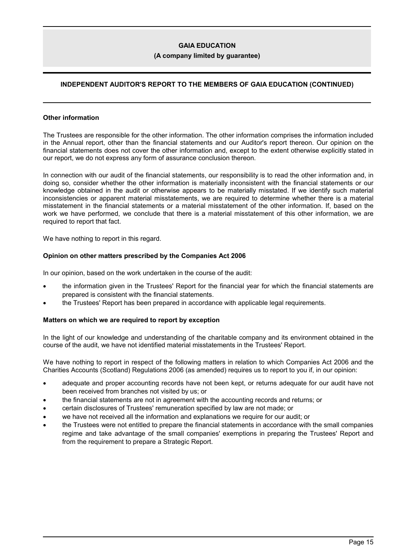### **(A company limited by guarantee)**

# **INDEPENDENT AUDITOR'S REPORT TO THE MEMBERS OF GAIA EDUCATION (CONTINUED)**

#### **Other information**

The Trustees are responsible for the other information. The other information comprises the information included in the Annual report, other than the financial statements and our Auditor's report thereon. Our opinion on the financial statements does not cover the other information and, except to the extent otherwise explicitly stated in our report, we do not express any form of assurance conclusion thereon.

In connection with our audit of the financial statements, our responsibility is to read the other information and, in doing so, consider whether the other information is materially inconsistent with the financial statements or our knowledge obtained in the audit or otherwise appears to be materially misstated. If we identify such material inconsistencies or apparent material misstatements, we are required to determine whether there is a material misstatement in the financial statements or a material misstatement of the other information. If, based on the work we have performed, we conclude that there is a material misstatement of this other information, we are required to report that fact.

We have nothing to report in this regard.

### **Opinion on other matters prescribed by the Companies Act 2006**

In our opinion, based on the work undertaken in the course of the audit:

- the information given in the Trustees' Report for the financial year for which the financial statements are prepared is consistent with the financial statements.
- the Trustees' Report has been prepared in accordance with applicable legal requirements.

## **Matters on which we are required to report by exception**

In the light of our knowledge and understanding of the charitable company and its environment obtained in the course of the audit, we have not identified material misstatements in the Trustees' Report.

We have nothing to report in respect of the following matters in relation to which Companies Act 2006 and the Charities Accounts (Scotland) Regulations 2006 (as amended) requires us to report to you if, in our opinion:

- adequate and proper accounting records have not been kept, or returns adequate for our audit have not been received from branches not visited by us; or
- the financial statements are not in agreement with the accounting records and returns; or
- certain disclosures of Trustees' remuneration specified by law are not made; or
- we have not received all the information and explanations we require for our audit; or
- the Trustees were not entitled to prepare the financial statements in accordance with the small companies regime and take advantage of the small companies' exemptions in preparing the Trustees' Report and from the requirement to prepare a Strategic Report.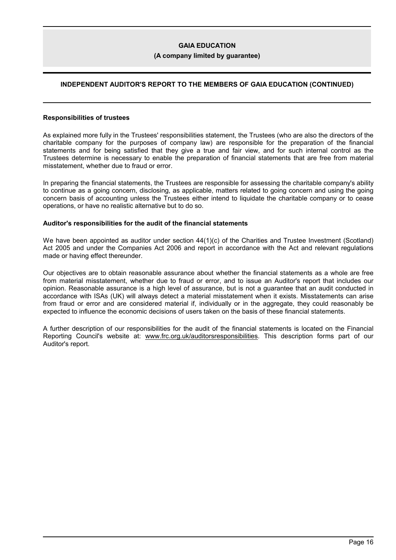### **(A company limited by guarantee)**

# **INDEPENDENT AUDITOR'S REPORT TO THE MEMBERS OF GAIA EDUCATION (CONTINUED)**

#### **Responsibilities of trustees**

As explained more fully in the Trustees' responsibilities statement, the Trustees (who are also the directors of the charitable company for the purposes of company law) are responsible for the preparation of the financial statements and for being satisfied that they give a true and fair view, and for such internal control as the Trustees determine is necessary to enable the preparation of financial statements that are free from material misstatement, whether due to fraud or error.

In preparing the financial statements, the Trustees are responsible for assessing the charitable company's ability to continue as a going concern, disclosing, as applicable, matters related to going concern and using the going concern basis of accounting unless the Trustees either intend to liquidate the charitable company or to cease operations, or have no realistic alternative but to do so.

### **Auditor's responsibilities for the audit of the financial statements**

We have been appointed as auditor under section  $44(1)(c)$  of the Charities and Trustee Investment (Scotland) Act 2005 and under the Companies Act 2006 and report in accordance with the Act and relevant regulations made or having effect thereunder.

Our objectives are to obtain reasonable assurance about whether the financial statements as a whole are free from material misstatement, whether due to fraud or error, and to issue an Auditor's report that includes our opinion. Reasonable assurance is a high level of assurance, but is not a guarantee that an audit conducted in accordance with ISAs (UK) will always detect a material misstatement when it exists. Misstatements can arise from fraud or error and are considered material if, individually or in the aggregate, they could reasonably be expected to influence the economic decisions of users taken on the basis of these financial statements.

A further description of our responsibilities for the audit of the financial statements is located on the Financial Reporting Council's website at: www.frc.org.uk/auditorsresponsibilities. This description forms part of our Auditor's report.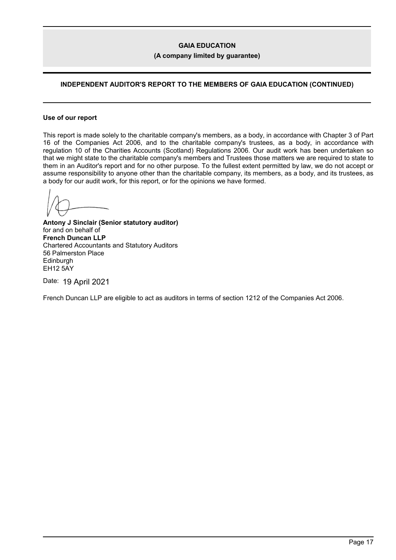### **(A company limited by guarantee)**

# **INDEPENDENT AUDITOR'S REPORT TO THE MEMBERS OF GAIA EDUCATION (CONTINUED)**

#### **Use of our report**

This report is made solely to the charitable company's members, as a body, in accordance with Chapter 3 of Part 16 of the Companies Act 2006, and to the charitable company's trustees, as a body, in accordance with regulation 10 of the Charities Accounts (Scotland) Regulations 2006. Our audit work has been undertaken so that we might state to the charitable company's members and Trustees those matters we are required to state to them in an Auditor's report and for no other purpose. To the fullest extent permitted by law, we do not accept or assume responsibility to anyone other than the charitable company, its members, as a body, and its trustees, as a body for our audit work, for this report, or for the opinions we have formed.

**Antony J Sinclair (Senior statutory auditor)** for and on behalf of **French Duncan LLP** Chartered Accountants and Statutory Auditors 56 Palmerston Place **Edinburgh** EH12 5AY

Date: 19 April 2021

French Duncan LLP are eligible to act as auditors in terms of section 1212 of the Companies Act 2006.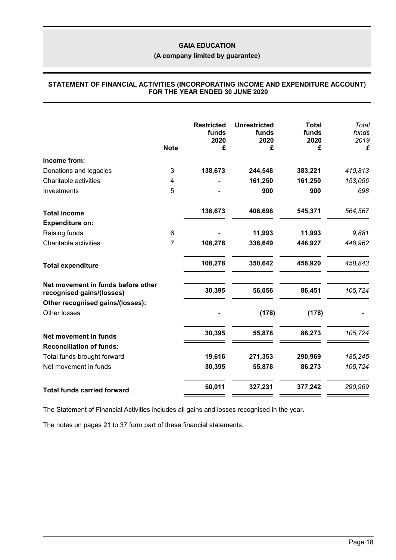# **(A company limited by guarantee)**

### **STATEMENT OF FINANCIAL ACTIVITIES (INCORPORATING INCOME AND EXPENDITURE ACCOUNT) FOR THE YEAR ENDED 30 JUNE 2020**

|                                                                 | <b>Note</b> | <b>Restricted</b><br>funds<br>2020<br>£ | <b>Unrestricted</b><br>funds<br>2020<br>£ | <b>Total</b><br>funds<br>2020<br>£ | Total<br>funds<br>2019<br>£ |
|-----------------------------------------------------------------|-------------|-----------------------------------------|-------------------------------------------|------------------------------------|-----------------------------|
| Income from:                                                    |             |                                         |                                           |                                    |                             |
| Donations and legacies                                          | 3           | 138,673                                 | 244,548                                   | 383,221                            | 410,813                     |
| Charitable activities                                           | 4           |                                         | 161,250                                   | 161,250                            | 153,056                     |
| Investments                                                     | 5           |                                         | 900                                       | 900                                | 698                         |
| <b>Total income</b>                                             |             | 138,673                                 | 406,698                                   | 545,371                            | 564,567                     |
| <b>Expenditure on:</b>                                          |             |                                         |                                           |                                    |                             |
| Raising funds                                                   | 6           |                                         | 11,993                                    | 11,993                             | 9,881                       |
| Charitable activities                                           | 7           | 108,278                                 | 338,649                                   | 446,927                            | 448,962                     |
| <b>Total expenditure</b>                                        |             | 108,278                                 | 350,642                                   | 458,920                            | 458,843                     |
| Net movement in funds before other<br>recognised gains/(losses) |             | 30,395                                  | 56,056                                    | 86,451                             | 105,724                     |
| Other recognised gains/(losses):                                |             |                                         |                                           |                                    |                             |
| Other losses                                                    |             |                                         | (178)                                     | (178)                              |                             |
| Net movement in funds                                           |             | 30,395                                  | 55,878                                    | 86,273                             | 105,724                     |
| <b>Reconciliation of funds:</b>                                 |             |                                         |                                           |                                    |                             |
| Total funds brought forward                                     |             | 19,616                                  | 271,353                                   | 290,969                            | 185,245                     |
| Net movement in funds                                           |             | 30,395                                  | 55,878                                    | 86,273                             | 105,724                     |
| <b>Total funds carried forward</b>                              |             | 50,011                                  | 327,231                                   | 377,242                            | 290,969                     |

The Statement of Financial Activities includes all gains and losses recognised in the year.

The notes on pages 21 to 37 form part of these financial statements.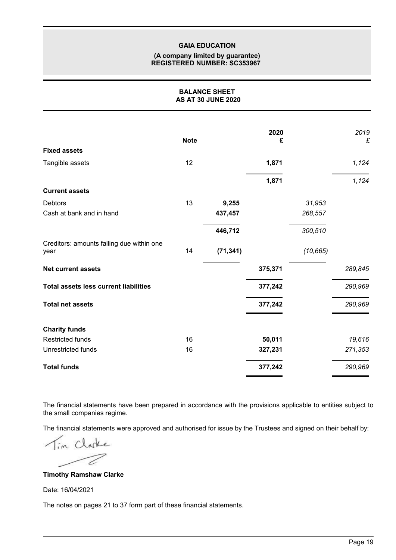### **(A company limited by guarantee) REGISTERED NUMBER: SC353967**

| <b>BALANCE SHEET</b><br><b>AS AT 30 JUNE 2020</b> |             |           |           |           |           |
|---------------------------------------------------|-------------|-----------|-----------|-----------|-----------|
|                                                   | <b>Note</b> |           | 2020<br>£ |           | 2019<br>£ |
| <b>Fixed assets</b>                               |             |           |           |           |           |
| Tangible assets                                   | 12          |           | 1,871     |           | 1,124     |
|                                                   |             |           | 1,871     |           | 1,124     |
| <b>Current assets</b>                             |             |           |           |           |           |
| <b>Debtors</b>                                    | 13          | 9,255     |           | 31,953    |           |
| Cash at bank and in hand                          |             | 437,457   |           | 268,557   |           |
|                                                   |             | 446,712   |           | 300,510   |           |
| Creditors: amounts falling due within one<br>year | 14          | (71, 341) |           | (10, 665) |           |
| <b>Net current assets</b>                         |             |           | 375,371   |           | 289,845   |
| <b>Total assets less current liabilities</b>      |             |           | 377,242   |           | 290,969   |
| <b>Total net assets</b>                           |             |           | 377,242   |           | 290,969   |
| <b>Charity funds</b>                              |             |           |           |           |           |
| <b>Restricted funds</b>                           | 16          |           | 50,011    |           | 19,616    |
| Unrestricted funds                                | 16          |           | 327,231   |           | 271,353   |
| <b>Total funds</b>                                |             |           | 377,242   |           | 290,969   |

The financial statements have been prepared in accordance with the provisions applicable to entities subject to the small companies regime.

The financial statements were approved and authorised for issue by the Trustees and signed on their behalf by:

Tim Clarke 7

## **Timothy Ramshaw Clarke**

Date: 16/04/2021

The notes on pages 21 to 37 form part of these financial statements.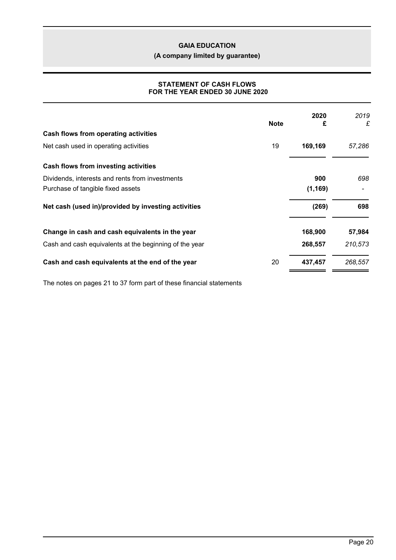**(A company limited by guarantee)**

## **STATEMENT OF CASH FLOWS FOR THE YEAR ENDED 30 JUNE 2020**

|                                                        | <b>Note</b> | 2020<br>£ | 2019<br>£ |
|--------------------------------------------------------|-------------|-----------|-----------|
| Cash flows from operating activities                   |             |           |           |
| Net cash used in operating activities                  | 19          | 169,169   | 57,286    |
| Cash flows from investing activities                   |             |           |           |
| Dividends, interests and rents from investments        |             | 900       | 698       |
| Purchase of tangible fixed assets                      |             | (1, 169)  |           |
| Net cash (used in)/provided by investing activities    |             | (269)     | 698       |
| Change in cash and cash equivalents in the year        |             | 168,900   | 57,984    |
| Cash and cash equivalents at the beginning of the year |             | 268,557   | 210,573   |
| Cash and cash equivalents at the end of the year       | 20          | 437,457   | 268,557   |
|                                                        |             |           |           |

The notes on pages 21 to 37 form part of these financial statements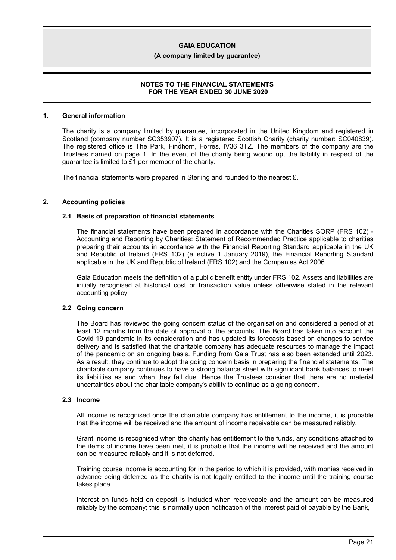#### **(A company limited by guarantee)**

### **NOTES TO THE FINANCIAL STATEMENTS FOR THE YEAR ENDED 30 JUNE 2020**

#### **1. General information**

The charity is a company limited by guarantee, incorporated in the United Kingdom and registered in Scotland (company number SC353907). It is a registered Scottish Charity (charity number: SC040839). The registered office is The Park, Findhorn, Forres, IV36 3TZ. The members of the company are the Trustees named on page 1. In the event of the charity being wound up, the liability in respect of the guarantee is limited to £1 per member of the charity.

The financial statements were prepared in Sterling and rounded to the nearest £.

#### **2. Accounting policies**

#### **2.1 Basis of preparation of financial statements**

The financial statements have been prepared in accordance with the Charities SORP (FRS 102) - Accounting and Reporting by Charities: Statement of Recommended Practice applicable to charities preparing their accounts in accordance with the Financial Reporting Standard applicable in the UK and Republic of Ireland (FRS 102) (effective 1 January 2019), the Financial Reporting Standard applicable in the UK and Republic of Ireland (FRS 102) and the Companies Act 2006.

Gaia Education meets the definition of a public benefit entity under FRS 102. Assets and liabilities are initially recognised at historical cost or transaction value unless otherwise stated in the relevant accounting policy.

#### **2.2 Going concern**

The Board has reviewed the going concern status of the organisation and considered a period of at least 12 months from the date of approval of the accounts. The Board has taken into account the Covid 19 pandemic in its consideration and has updated its forecasts based on changes to service delivery and is satisfied that the charitable company has adequate resources to manage the impact of the pandemic on an ongoing basis. Funding from Gaia Trust has also been extended until 2023. As a result, they continue to adopt the going concern basis in preparing the financial statements. The charitable company continues to have a strong balance sheet with significant bank balances to meet its liabilities as and when they fall due. Hence the Trustees consider that there are no material uncertainties about the charitable company's ability to continue as a going concern.

#### **2.3 Income**

All income is recognised once the charitable company has entitlement to the income, it is probable that the income will be received and the amount of income receivable can be measured reliably.

Grant income is recognised when the charity has entitlement to the funds, any conditions attached to the items of income have been met, it is probable that the income will be received and the amount can be measured reliably and it is not deferred.

Training course income is accounting for in the period to which it is provided, with monies received in advance being deferred as the charity is not legally entitled to the income until the training course takes place.

Interest on funds held on deposit is included when receiveable and the amount can be measured reliably by the company; this is normally upon notification of the interest paid of payable by the Bank,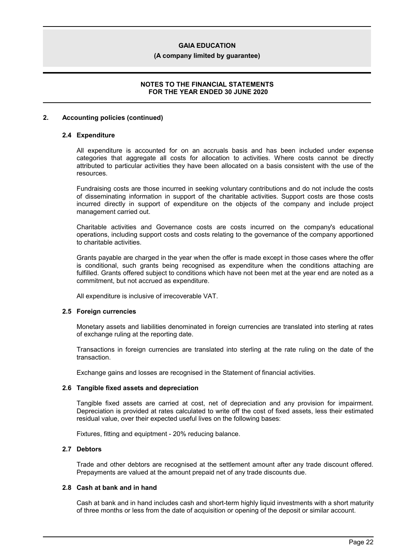#### **(A company limited by guarantee)**

### **NOTES TO THE FINANCIAL STATEMENTS FOR THE YEAR ENDED 30 JUNE 2020**

#### **2. Accounting policies (continued)**

#### **2.4 Expenditure**

All expenditure is accounted for on an accruals basis and has been included under expense categories that aggregate all costs for allocation to activities. Where costs cannot be directly attributed to particular activities they have been allocated on a basis consistent with the use of the resources.

Fundraising costs are those incurred in seeking voluntary contributions and do not include the costs of disseminating information in support of the charitable activities. Support costs are those costs incurred directly in support of expenditure on the objects of the company and include project management carried out.

Charitable activities and Governance costs are costs incurred on the company's educational operations, including support costs and costs relating to the governance of the company apportioned to charitable activities.

Grants payable are charged in the year when the offer is made except in those cases where the offer is conditional, such grants being recognised as expenditure when the conditions attaching are fulfilled. Grants offered subject to conditions which have not been met at the year end are noted as a commitment, but not accrued as expenditure.

All expenditure is inclusive of irrecoverable VAT.

#### **2.5 Foreign currencies**

Monetary assets and liabilities denominated in foreign currencies are translated into sterling at rates of exchange ruling at the reporting date.

Transactions in foreign currencies are translated into sterling at the rate ruling on the date of the transaction.

Exchange gains and losses are recognised in the Statement of financial activities.

#### **2.6 Tangible fixed assets and depreciation**

Tangible fixed assets are carried at cost, net of depreciation and any provision for impairment. Depreciation is provided at rates calculated to write off the cost of fixed assets, less their estimated residual value, over their expected useful lives on the following bases:

Fixtures, fitting and equiptment - 20% reducing balance.

# **2.7 Debtors**

Trade and other debtors are recognised at the settlement amount after any trade discount offered. Prepayments are valued at the amount prepaid net of any trade discounts due.

#### **2.8 Cash at bank and in hand**

Cash at bank and in hand includes cash and short-term highly liquid investments with a short maturity of three months or less from the date of acquisition or opening of the deposit or similar account.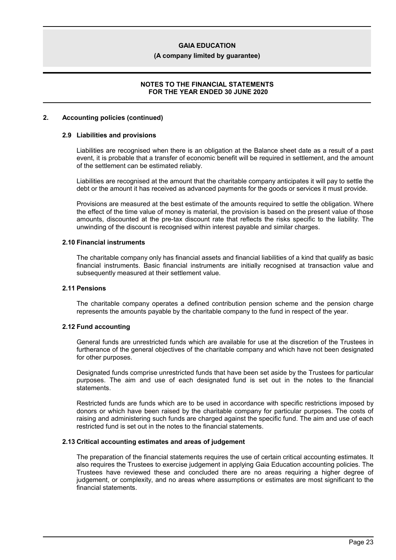#### **(A company limited by guarantee)**

### **NOTES TO THE FINANCIAL STATEMENTS FOR THE YEAR ENDED 30 JUNE 2020**

#### **2. Accounting policies (continued)**

#### **2.9 Liabilities and provisions**

Liabilities are recognised when there is an obligation at the Balance sheet date as a result of a past event, it is probable that a transfer of economic benefit will be required in settlement, and the amount of the settlement can be estimated reliably.

Liabilities are recognised at the amount that the charitable company anticipates it will pay to settle the debt or the amount it has received as advanced payments for the goods or services it must provide.

Provisions are measured at the best estimate of the amounts required to settle the obligation. Where the effect of the time value of money is material, the provision is based on the present value of those amounts, discounted at the pre-tax discount rate that reflects the risks specific to the liability. The unwinding of the discount is recognised within interest payable and similar charges.

#### **2.10 Financial instruments**

The charitable company only has financial assets and financial liabilities of a kind that qualify as basic financial instruments. Basic financial instruments are initially recognised at transaction value and subsequently measured at their settlement value.

### **2.11 Pensions**

The charitable company operates a defined contribution pension scheme and the pension charge represents the amounts payable by the charitable company to the fund in respect of the year.

#### **2.12 Fund accounting**

General funds are unrestricted funds which are available for use at the discretion of the Trustees in furtherance of the general objectives of the charitable company and which have not been designated for other purposes.

Designated funds comprise unrestricted funds that have been set aside by the Trustees for particular purposes. The aim and use of each designated fund is set out in the notes to the financial statements.

Restricted funds are funds which are to be used in accordance with specific restrictions imposed by donors or which have been raised by the charitable company for particular purposes. The costs of raising and administering such funds are charged against the specific fund. The aim and use of each restricted fund is set out in the notes to the financial statements.

### **2.13 Critical accounting estimates and areas of judgement**

The preparation of the financial statements requires the use of certain critical accounting estimates. It also requires the Trustees to exercise judgement in applying Gaia Education accounting policies. The Trustees have reviewed these and concluded there are no areas requiring a higher degree of judgement, or complexity, and no areas where assumptions or estimates are most significant to the financial statements.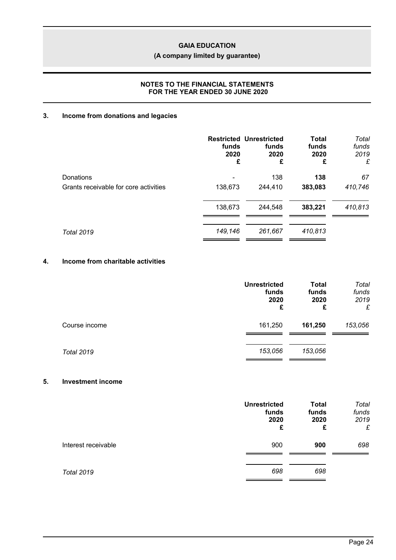# **(A company limited by guarantee)**

## **NOTES TO THE FINANCIAL STATEMENTS FOR THE YEAR ENDED 30 JUNE 2020**

# **3. Income from donations and legacies**

|                                       | funds<br>2020<br>£ | <b>Restricted Unrestricted</b><br>funds<br>2020<br>£ | <b>Total</b><br>funds<br>2020<br>£ | Total<br>funds<br>2019<br>£ |
|---------------------------------------|--------------------|------------------------------------------------------|------------------------------------|-----------------------------|
| Donations                             |                    | 138                                                  | 138                                | 67                          |
| Grants receivable for core activities | 138,673            | 244,410                                              | 383,083                            | 410,746                     |
|                                       | 138,673            | 244,548                                              | 383,221                            | 410,813                     |
| <b>Total 2019</b>                     | 149,146            | 261,667                                              | 410,813                            |                             |

# **4. Income from charitable activities**

|                   | <b>Unrestricted</b><br>funds<br>2020<br>£ | <b>Total</b><br>funds<br>2020<br>£ | Total<br>funds<br>2019<br>£ |
|-------------------|-------------------------------------------|------------------------------------|-----------------------------|
| Course income     | 161,250                                   | 161,250                            | 153,056                     |
| <b>Total 2019</b> | 153,056                                   | 153,056                            |                             |

### **5. Investment income**

|                     | <b>Unrestricted</b><br>funds<br>2020<br>£ | <b>Total</b><br>funds<br>2020<br>£ | Total<br>funds<br>2019<br>£ |
|---------------------|-------------------------------------------|------------------------------------|-----------------------------|
| Interest receivable | 900                                       | 900                                | 698                         |
| <b>Total 2019</b>   | 698                                       | 698                                |                             |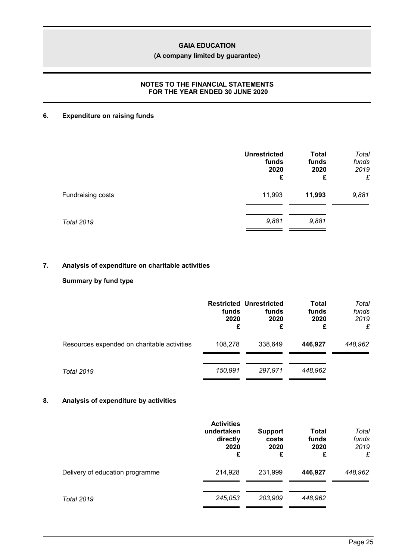# **(A company limited by guarantee)**

## **NOTES TO THE FINANCIAL STATEMENTS FOR THE YEAR ENDED 30 JUNE 2020**

# **6. Expenditure on raising funds**

| <b>Unrestricted</b><br>funds<br>2020<br>£ | <b>Total</b><br>funds<br>2020<br>£ | Total<br>funds<br>2019<br>£ |
|-------------------------------------------|------------------------------------|-----------------------------|
| 11,993                                    | 11,993                             | 9,881                       |
| 9,881                                     | 9,881                              |                             |
|                                           |                                    |                             |

# **7. Analysis of expenditure on charitable activities**

# **Summary by fund type**

|                                             | funds<br>2020<br>£ | <b>Restricted Unrestricted</b><br>funds<br>2020<br>£ | <b>Total</b><br>funds<br>2020<br>£ | Total<br>funds<br>2019<br>£ |
|---------------------------------------------|--------------------|------------------------------------------------------|------------------------------------|-----------------------------|
| Resources expended on charitable activities | 108,278            | 338,649                                              | 446.927                            | 448,962                     |
| <b>Total 2019</b>                           | 150.991            | 297.971                                              | 448.962                            |                             |

# **8. Analysis of expenditure by activities**

|                                 | <b>Activities</b><br>undertaken<br>directly<br>2020<br>£ | <b>Support</b><br>costs<br>2020<br>£ | Total<br>funds<br>2020<br>£ | Total<br>funds<br>2019<br>£ |
|---------------------------------|----------------------------------------------------------|--------------------------------------|-----------------------------|-----------------------------|
| Delivery of education programme | 214,928                                                  | 231,999                              | 446,927                     | 448,962                     |
| <b>Total 2019</b>               | 245,053                                                  | 203,909                              | 448,962                     |                             |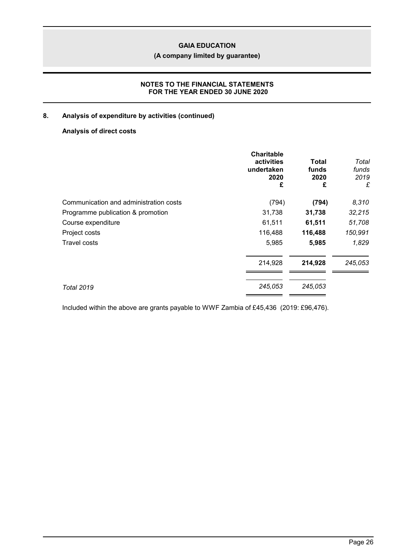# **(A company limited by guarantee)**

## **NOTES TO THE FINANCIAL STATEMENTS FOR THE YEAR ENDED 30 JUNE 2020**

# **8. Analysis of expenditure by activities (continued)**

# **Analysis of direct costs**

|                                        | <b>Charitable</b><br>activities<br>undertaken<br>2020<br>£ | Total<br>funds<br>2020<br>£ | Total<br>funds<br>2019<br>£ |
|----------------------------------------|------------------------------------------------------------|-----------------------------|-----------------------------|
| Communication and administration costs | (794)                                                      | (794)                       | 8,310                       |
| Programme publication & promotion      | 31,738                                                     | 31,738                      | 32,215                      |
| Course expenditure                     | 61,511                                                     | 61,511                      | 51,708                      |
| Project costs                          | 116,488                                                    | 116,488                     | 150,991                     |
| Travel costs                           | 5,985                                                      | 5,985                       | 1,829                       |
|                                        | 214,928                                                    | 214,928                     | 245,053                     |
| <b>Total 2019</b>                      | 245,053                                                    | 245,053                     |                             |

Included within the above are grants payable to WWF Zambia of £45,436 (2019: £96,476).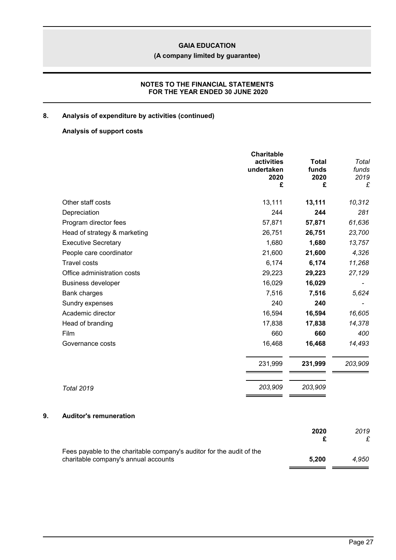### **(A company limited by guarantee)**

# **NOTES TO THE FINANCIAL STATEMENTS FOR THE YEAR ENDED 30 JUNE 2020**

### **8. Analysis of expenditure by activities (continued)**

## **Analysis of support costs**

|                                     | <b>Charitable</b><br>activities<br>undertaken<br>2020<br>£ | <b>Total</b><br>funds<br>2020<br>£ | Total<br>funds<br>2019<br>£ |
|-------------------------------------|------------------------------------------------------------|------------------------------------|-----------------------------|
| Other staff costs                   | 13,111                                                     | 13,111                             | 10,312                      |
| Depreciation                        | 244                                                        | 244                                | 281                         |
| Program director fees               | 57,871                                                     | 57,871                             | 61,636                      |
| Head of strategy & marketing        | 26,751                                                     | 26,751                             | 23,700                      |
| <b>Executive Secretary</b>          | 1,680                                                      | 1,680                              | 13,757                      |
| People care coordinator             | 21,600                                                     | 21,600                             | 4,326                       |
| <b>Travel costs</b>                 | 6,174                                                      | 6,174                              | 11,268                      |
| Office administration costs         | 29,223                                                     | 29,223                             | 27,129                      |
| <b>Business developer</b>           | 16,029                                                     | 16,029                             |                             |
| <b>Bank charges</b>                 | 7,516                                                      | 7,516                              | 5,624                       |
| Sundry expenses                     | 240                                                        | 240                                |                             |
| Academic director                   | 16,594                                                     | 16,594                             | 16,605                      |
| Head of branding                    | 17,838                                                     | 17,838                             | 14,378                      |
| Film                                | 660                                                        | 660                                | 400                         |
| Governance costs                    | 16,468                                                     | 16,468                             | 14,493                      |
|                                     | 231,999                                                    | 231,999                            | 203,909                     |
| <b>Total 2019</b>                   | 203,909                                                    | 203,909                            |                             |
| 9.<br><b>Auditor's remuneration</b> |                                                            |                                    |                             |
|                                     |                                                            | 2020<br>£                          | 2019<br>£                   |

Fees payable to the charitable company's auditor for the audit of the charitable company's annual accounts **5,200** *4,950*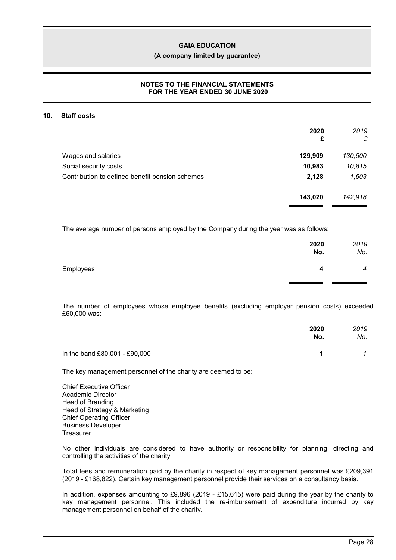#### **(A company limited by guarantee)**

## **NOTES TO THE FINANCIAL STATEMENTS FOR THE YEAR ENDED 30 JUNE 2020**

#### **10. Staff costs**

|                                                 | 2020<br>£ | 2019<br>£ |
|-------------------------------------------------|-----------|-----------|
| Wages and salaries                              | 129,909   | 130,500   |
| Social security costs                           | 10,983    | 10,815    |
| Contribution to defined benefit pension schemes | 2,128     | 1,603     |
|                                                 | 143,020   | 142,918   |

The average number of persons employed by the Company during the year was as follows:

|           | 2020<br>No. | 2019<br>No.    |
|-----------|-------------|----------------|
| Employees | 4           | $\overline{4}$ |
|           |             |                |

The number of employees whose employee benefits (excluding employer pension costs) exceeded £60,000 was:

|                               | 2020<br>No. | 2019<br>No. |
|-------------------------------|-------------|-------------|
| In the band £80,001 - £90,000 | 1           |             |

The key management personnel of the charity are deemed to be:

Chief Executive Officer Academic Director Head of Branding Head of Strategy & Marketing Chief Operating Officer Business Developer **Treasurer** 

No other individuals are considered to have authority or responsibility for planning, directing and controlling the activities of the charity.

Total fees and remuneration paid by the charity in respect of key management personnel was £209,391 (2019 - £168,822). Certain key management personnel provide their services on a consultancy basis.

In addition, expenses amounting to £9,896 (2019 - £15,615) were paid during the year by the charity to key management personnel. This included the re-imbursement of expenditure incurred by key management personnel on behalf of the charity.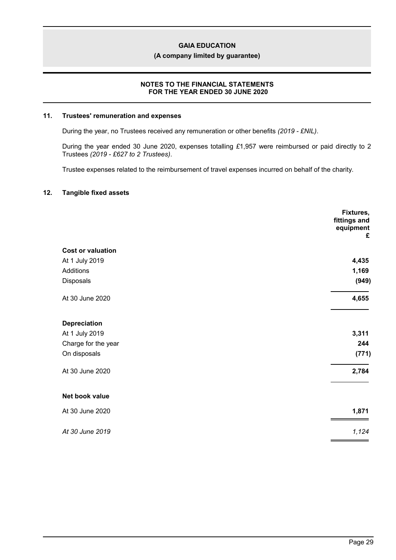**(A company limited by guarantee)**

### **NOTES TO THE FINANCIAL STATEMENTS FOR THE YEAR ENDED 30 JUNE 2020**

### **11. Trustees' remuneration and expenses**

During the year, no Trustees received any remuneration or other benefits *(2019 - £NIL)*.

During the year ended 30 June 2020, expenses totalling *£*1,957 were reimbursed or paid directly to 2 Trustees *(2019 - £627 to 2 Trustees)*.

Trustee expenses related to the reimbursement of travel expenses incurred on behalf of the charity.

#### **12. Tangible fixed assets**

|                          | Fixtures,<br>fittings and<br>equipment<br>£ |
|--------------------------|---------------------------------------------|
| <b>Cost or valuation</b> |                                             |
| At 1 July 2019           | 4,435                                       |
| Additions                | 1,169                                       |
| Disposals                | (949)                                       |
| At 30 June 2020          | 4,655                                       |
| <b>Depreciation</b>      |                                             |
| At 1 July 2019           | 3,311                                       |
| Charge for the year      | 244                                         |
| On disposals             | (771)                                       |
| At 30 June 2020          | 2,784                                       |
| Net book value           |                                             |
| At 30 June 2020          | 1,871                                       |
| At 30 June 2019          | 1,124                                       |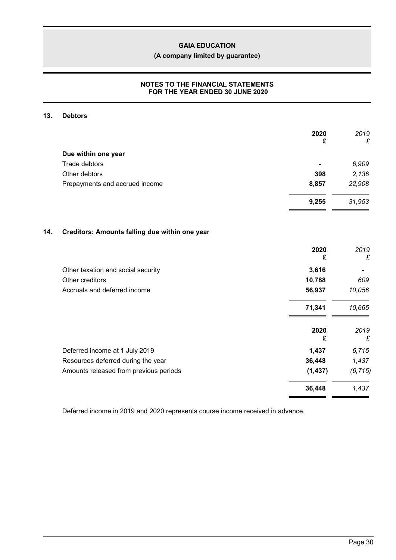**(A company limited by guarantee)**

# **NOTES TO THE FINANCIAL STATEMENTS FOR THE YEAR ENDED 30 JUNE 2020**

## **13. Debtors**

|     |                                                | 2020<br>£ | 2019<br>£ |
|-----|------------------------------------------------|-----------|-----------|
|     | Due within one year                            |           |           |
|     | <b>Trade debtors</b>                           |           | 6,909     |
|     | Other debtors                                  | 398       | 2,136     |
|     | Prepayments and accrued income                 | 8,857     | 22,908    |
|     |                                                | 9,255     | 31,953    |
| 14. | Creditors: Amounts falling due within one year |           |           |
|     |                                                |           |           |
|     |                                                | 2020<br>£ | 2019<br>£ |
|     | Other taxation and social security             | 3,616     |           |
|     | Other creditors                                | 10,788    | 609       |
|     | Accruals and deferred income                   | 56,937    | 10,056    |
|     |                                                | 71,341    | 10,665    |
|     |                                                | 2020<br>£ | 2019<br>£ |
|     | Deferred income at 1 July 2019                 | 1,437     | 6,715     |
|     | Resources deferred during the year             | 36,448    | 1,437     |
|     | Amounts released from previous periods         | (1, 437)  | (6, 715)  |
|     |                                                | 36,448    | 1,437     |

Deferred income in 2019 and 2020 represents course income received in advance.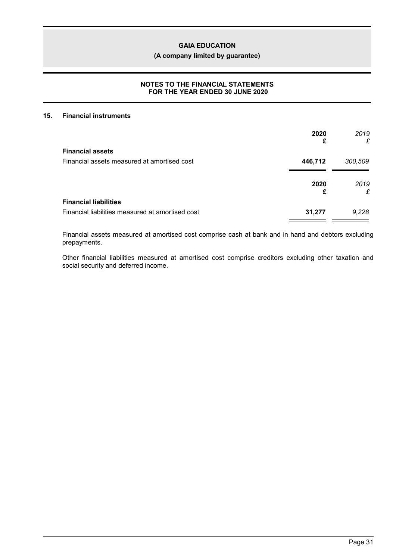**(A company limited by guarantee)**

# **NOTES TO THE FINANCIAL STATEMENTS FOR THE YEAR ENDED 30 JUNE 2020**

### **15. Financial instruments**

|                                                  | 2020<br>£ | 2019<br>£ |
|--------------------------------------------------|-----------|-----------|
| <b>Financial assets</b>                          |           |           |
| Financial assets measured at amortised cost      | 446,712   | 300,509   |
|                                                  | 2020<br>£ | 2019<br>£ |
| <b>Financial liabilities</b>                     |           |           |
| Financial liabilities measured at amortised cost | 31,277    | 9,228     |

Financial assets measured at amortised cost comprise cash at bank and in hand and debtors excluding prepayments.

Other financial liabilities measured at amortised cost comprise creditors excluding other taxation and social security and deferred income.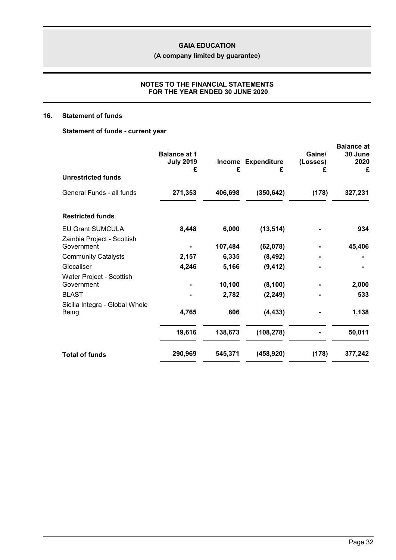**(A company limited by guarantee)**

# **NOTES TO THE FINANCIAL STATEMENTS FOR THE YEAR ENDED 30 JUNE 2020**

# **16. Statement of funds**

# **Statement of funds - current year**

| <b>Unrestricted funds</b>               | <b>Balance at 1</b><br><b>July 2019</b><br>£ | <b>Income</b><br>£ | <b>Expenditure</b><br>£ | Gains/<br>(Losses)<br>£ | <b>Balance at</b><br>30 June<br>2020<br>£ |
|-----------------------------------------|----------------------------------------------|--------------------|-------------------------|-------------------------|-------------------------------------------|
|                                         |                                              |                    |                         |                         |                                           |
| General Funds - all funds               | 271,353                                      | 406,698            | (350, 642)              | (178)                   | 327,231                                   |
| <b>Restricted funds</b>                 |                                              |                    |                         |                         |                                           |
| <b>EU Grant SUMCULA</b>                 | 8,448                                        | 6,000              | (13, 514)               |                         | 934                                       |
| Zambia Project - Scottish<br>Government |                                              | 107,484            | (62,078)                |                         | 45,406                                    |
| <b>Community Catalysts</b>              | 2,157                                        | 6,335              | (8, 492)                |                         |                                           |
| Glocaliser                              | 4,246                                        | 5,166              | (9, 412)                |                         |                                           |
| Water Project - Scottish<br>Government  |                                              | 10,100             | (8, 100)                |                         | 2,000                                     |
| <b>BLAST</b>                            |                                              | 2,782              | (2, 249)                |                         | 533                                       |
| Sicilia Integra - Global Whole<br>Being | 4,765                                        | 806                | (4, 433)                |                         | 1,138                                     |
|                                         | 19,616                                       | 138,673            | (108, 278)              |                         | 50,011                                    |
| <b>Total of funds</b>                   | 290,969                                      | 545,371            | (458, 920)              | (178)                   | 377,242                                   |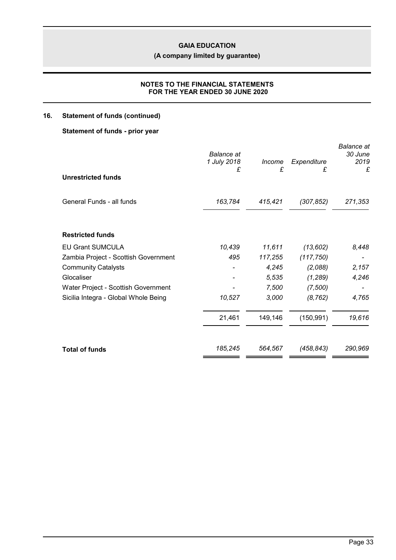**(A company limited by guarantee)**

# **NOTES TO THE FINANCIAL STATEMENTS FOR THE YEAR ENDED 30 JUNE 2020**

# **16. Statement of funds (continued)**

# **Statement of funds - prior year**

| <b>Balance</b> at<br>1 July 2018<br>£ | Income<br>£ | Expenditure<br>£ | <b>Balance</b> at<br>30 June<br>2019<br>£ |
|---------------------------------------|-------------|------------------|-------------------------------------------|
| 163,784                               | 415,421     | (307, 852)       | 271,353                                   |
|                                       |             |                  |                                           |
| 10,439                                | 11,611      | (13, 602)        | 8,448                                     |
| 495                                   | 117,255     | (117, 750)       |                                           |
|                                       | 4,245       | (2,088)          | 2,157                                     |
|                                       | 5,535       | (1, 289)         | 4,246                                     |
|                                       | 7,500       | (7,500)          |                                           |
| 10,527                                | 3,000       | (8, 762)         | 4,765                                     |
| 21,461                                | 149,146     | (150, 991)       | 19,616                                    |
| 185,245                               | 564,567     | (458, 843)       | 290,969                                   |
|                                       |             |                  |                                           |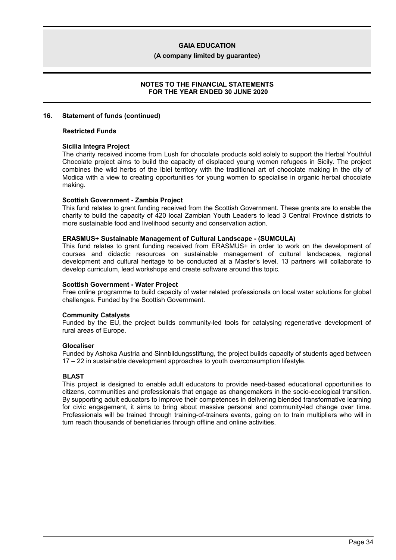**(A company limited by guarantee)**

### **NOTES TO THE FINANCIAL STATEMENTS FOR THE YEAR ENDED 30 JUNE 2020**

#### **16. Statement of funds (continued)**

#### **Restricted Funds**

#### **Sicilia Integra Project**

The charity received income from Lush for chocolate products sold solely to support the Herbal Youthful Chocolate project aims to build the capacity of displaced young women refugees in Sicily. The project combines the wild herbs of the Iblei territory with the traditional art of chocolate making in the city of Modica with a view to creating opportunities for young women to specialise in organic herbal chocolate making.

#### **Scottish Government - Zambia Project**

This fund relates to grant funding received from the Scottish Government. These grants are to enable the charity to build the capacity of 420 local Zambian Youth Leaders to lead 3 Central Province districts to more sustainable food and livelihood security and conservation action.

#### **ERASMUS+ Sustainable Management of Cultural Landscape - (SUMCULA)**

This fund relates to grant funding received from ERASMUS+ in order to work on the development of courses and didactic resources on sustainable management of cultural landscapes, regional development and cultural heritage to be conducted at a Master's level. 13 partners will collaborate to develop curriculum, lead workshops and create software around this topic.

#### **Scottish Government - Water Project**

Free online programme to build capacity of water related professionals on local water solutions for global challenges. Funded by the Scottish Government.

#### **Community Catalysts**

Funded by the EU, the project builds community-led tools for catalysing regenerative development of rural areas of Europe.

#### **Glocaliser**

Funded by Ashoka Austria and Sinnbildungsstiftung, the project builds capacity of students aged between 17 – 22 in sustainable development approaches to youth overconsumption lifestyle.

#### **BLAST**

This project is designed to enable adult educators to provide need-based educational opportunities to citizens, communities and professionals that engage as changemakers in the socio-ecological transition. By supporting adult educators to improve their competences in delivering blended transformative learning for civic engagement, it aims to bring about massive personal and community-led change over time. Professionals will be trained through training-of-trainers events, going on to train multipliers who will in turn reach thousands of beneficiaries through offline and online activities.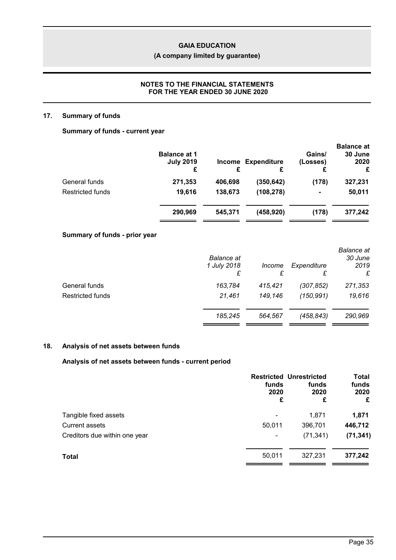# **(A company limited by guarantee)**

## **NOTES TO THE FINANCIAL STATEMENTS FOR THE YEAR ENDED 30 JUNE 2020**

### **17. Summary of funds**

# **Summary of funds - current year**

|                         | <b>Balance at 1</b><br><b>July 2019</b><br>£ | £       | <b>Income Expenditure</b> | Gains/<br>(Losses) | <b>Balance at</b><br>30 June<br>2020<br>£ |
|-------------------------|----------------------------------------------|---------|---------------------------|--------------------|-------------------------------------------|
| General funds           | 271,353                                      | 406,698 | (350,642)                 | (178)              | 327,231                                   |
| <b>Restricted funds</b> | 19,616                                       | 138,673 | (108, 278)                | $\blacksquare$     | 50,011                                    |
|                         | 290,969                                      | 545,371 | (458, 920)                | (178)              | 377,242                                   |

# **Summary of funds - prior year**

|                         | <b>Balance</b> at<br>1 July 2018<br>£ | <i>Income</i> | Expenditure<br>£ | <b>Balance</b> at<br>30 June<br>2019<br>£ |
|-------------------------|---------------------------------------|---------------|------------------|-------------------------------------------|
| General funds           | 163,784                               | 415,421       | (307, 852)       | 271,353                                   |
| <b>Restricted funds</b> | 21,461                                | 149,146       | (150, 991)       | 19,616                                    |
|                         | 185,245                               | 564.567       | (458, 843)       | 290,969                                   |

# **18. Analysis of net assets between funds**

## **Analysis of net assets between funds - current period**

|                               | funds<br>2020<br>£ | <b>Restricted Unrestricted</b><br>funds<br>2020<br>£ | Total<br>funds<br>2020<br>£ |
|-------------------------------|--------------------|------------------------------------------------------|-----------------------------|
| Tangible fixed assets         |                    | 1,871                                                | 1,871                       |
| <b>Current assets</b>         | 50,011             | 396,701                                              | 446,712                     |
| Creditors due within one year | ۰                  | (71, 341)                                            | (71, 341)                   |
| <b>Total</b>                  | 50,011             | 327,231                                              | 377,242                     |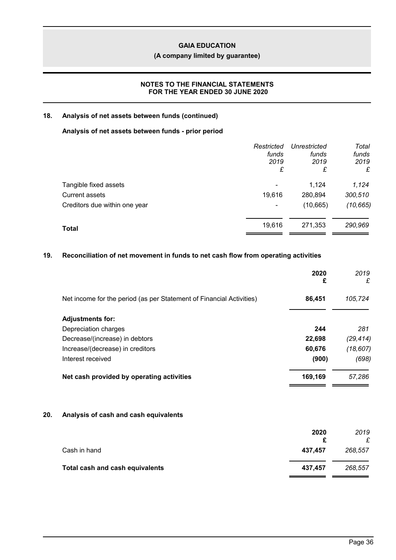# **(A company limited by guarantee)**

# **NOTES TO THE FINANCIAL STATEMENTS FOR THE YEAR ENDED 30 JUNE 2020**

### **18. Analysis of net assets between funds (continued)**

## **Analysis of net assets between funds - prior period**

|                               | Restricted<br>funds<br>2019 | Unrestricted<br>funds<br>2019 | Total<br>funds<br>2019 |
|-------------------------------|-----------------------------|-------------------------------|------------------------|
|                               | £                           | £                             | £                      |
| Tangible fixed assets         |                             | 1,124                         | 1,124                  |
| <b>Current assets</b>         | 19,616                      | 280,894                       | 300,510                |
| Creditors due within one year | ۰                           | (10, 665)                     | (10, 665)              |
| Total                         | 19,616                      | 271,353                       | 290,969                |
|                               |                             |                               |                        |

# **19. Reconciliation of net movement in funds to net cash flow from operating activities**

|     |                                                                      | 2020<br>£ | 2019<br>£ |
|-----|----------------------------------------------------------------------|-----------|-----------|
|     | Net income for the period (as per Statement of Financial Activities) | 86,451    | 105,724   |
|     | <b>Adjustments for:</b>                                              |           |           |
|     | Depreciation charges                                                 | 244       | 281       |
|     | Decrease/(increase) in debtors                                       | 22,698    | (29, 414) |
|     | Increase/(decrease) in creditors                                     | 60,676    | (18, 607) |
|     | Interest received                                                    | (900)     | (698)     |
|     | Net cash provided by operating activities                            | 169,169   | 57,286    |
| 20. | Analysis of cash and cash equivalents                                |           |           |
|     |                                                                      | 2020<br>£ | 2019<br>£ |
|     | Cash in hand                                                         | 437,457   | 268,557   |
|     | Total cash and cash equivalents                                      | 437,457   | 268,557   |